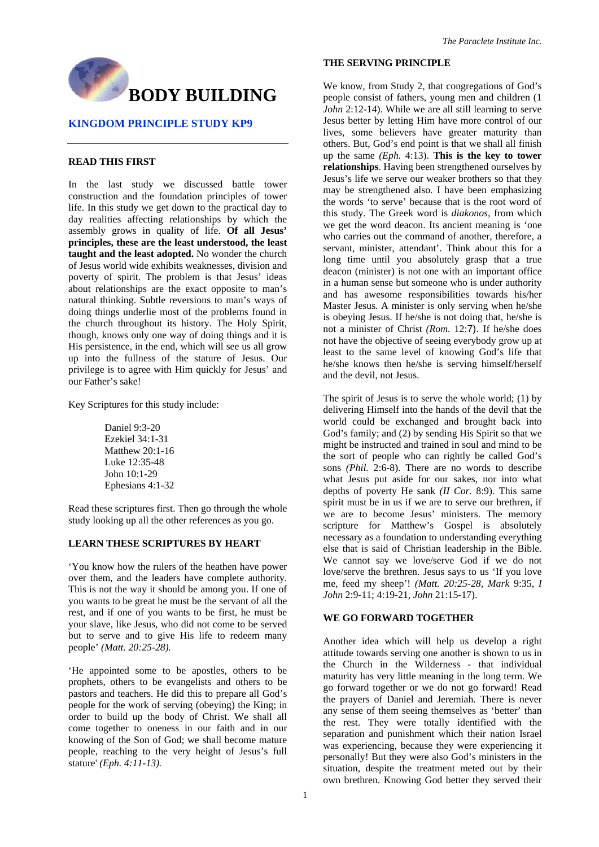

## **KINGDOM PRINCIPLE STUDY KP9**

## **READ THIS FIRST**

In the last study we discussed battle tower construction and the foundation principles of tower life. In this study we get down to the practical day to day realities affecting relationships by which the assembly grows in quality of life. **Of all Jesus' principles, these are the least understood, the least taught and the least adopted.** No wonder the church of Jesus world wide exhibits weaknesses, division and poverty of spirit. The problem is that Jesus' ideas about relationships are the exact opposite to man's natural thinking. Subtle reversions to man's ways of doing things underlie most of the problems found in the church throughout its history. The Holy Spirit, though, knows only one way of doing things and it is His persistence, in the end, which will see us all grow up into the fullness of the stature of Jesus. Our privilege is to agree with Him quickly for Jesus' and our Father's sake!

Key Scriptures for this study include:

Daniel 9:3-20 Ezekiel 34:1-31 Matthew 20:1-16 Luke 12:35-48 John 10:1-29 Ephesians 4:1-32

Read these scriptures first. Then go through the whole study looking up all the other references as you go.

## **LEARN THESE SCRIPTURES BY HEART**

'You know how the rulers of the heathen have power over them, and the leaders have complete authority. This is not the way it should be among you. If one of you wants to be great he must be the servant of all the rest, and if one of you wants to be first, he must be your slave, like Jesus, who did not come to be served but to serve and to give His life to redeem many people' *(Matt. 20:25-28).* 

'He appointed some to be apostles, others to be prophets, others to be evangelists and others to be pastors and teachers. He did this to prepare all God's people for the work of serving (obeying) the King; in order to build up the body of Christ. We shall all come together to oneness in our faith and in our knowing of the Son of God; we shall become mature people, reaching to the very height of Jesus's full stature' *(Eph. 4:11-13).* 

## **THE SERVING PRINCIPLE**

We know, from Study 2, that congregations of God's people consist of fathers, young men and children (1 *John* 2:12-14). While we are all still learning to serve Jesus better by letting Him have more control of our lives, some believers have greater maturity than others. But, God's end point is that we shall all finish up the same *(Eph.* 4:13). **This is the key to tower relationships**. Having been strengthened ourselves by Jesus's life we serve our weaker brothers so that they may be strengthened also. I have been emphasizing the words 'to serve' because that is the root word of this study. The Greek word is *diakonos,* from which we get the word deacon. Its ancient meaning is 'one who carries out the command of another, therefore, a servant, minister, attendant'. Think about this for a long time until you absolutely grasp that a true deacon (minister) is not one with an important office in a human sense but someone who is under authority and has awesome responsibilities towards his/her Master Jesus. A minister is only serving when he/she is obeying Jesus. If he/she is not doing that, he/she is not a minister of Christ *(Rom.* 12:7). If he/she does not have the objective of seeing everybody grow up at least to the same level of knowing God's life that he/she knows then he/she is serving himself/herself and the devil, not Jesus.

The spirit of Jesus is to serve the whole world; (1) by delivering Himself into the hands of the devil that the world could be exchanged and brought back into God's family; and (2) by sending His Spirit so that we might be instructed and trained in soul and mind to be the sort of people who can rightly be called God's sons *(Phil.* 2:6-8). There are no words to describe what Jesus put aside for our sakes, nor into what depths of poverty He sank *(II Cor.* 8:9). This same spirit must be in us if we are to serve our brethren, if we are to become Jesus' ministers. The memory scripture for Matthew's Gospel is absolutely necessary as a foundation to understanding everything else that is said of Christian leadership in the Bible. We cannot say we love/serve God if we do not love/serve the brethren. Jesus says to us 'If you love me, feed my sheep'! *(Matt. 20:25-28, Mark* 9:35, *I John* 2:9-11; 4:19-21, *John* 21:15-17).

#### **WE GO FORWARD TOGETHER**

Another idea which will help us develop a right attitude towards serving one another is shown to us in the Church in the Wilderness - that individual maturity has very little meaning in the long term. We go forward together or we do not go forward! Read the prayers of Daniel and Jeremiah. There is never any sense of them seeing themselves as 'better' than the rest. They were totally identified with the separation and punishment which their nation Israel was experiencing, because they were experiencing it personally! But they were also God's ministers in the situation, despite the treatment meted out by their own brethren. Knowing God better they served their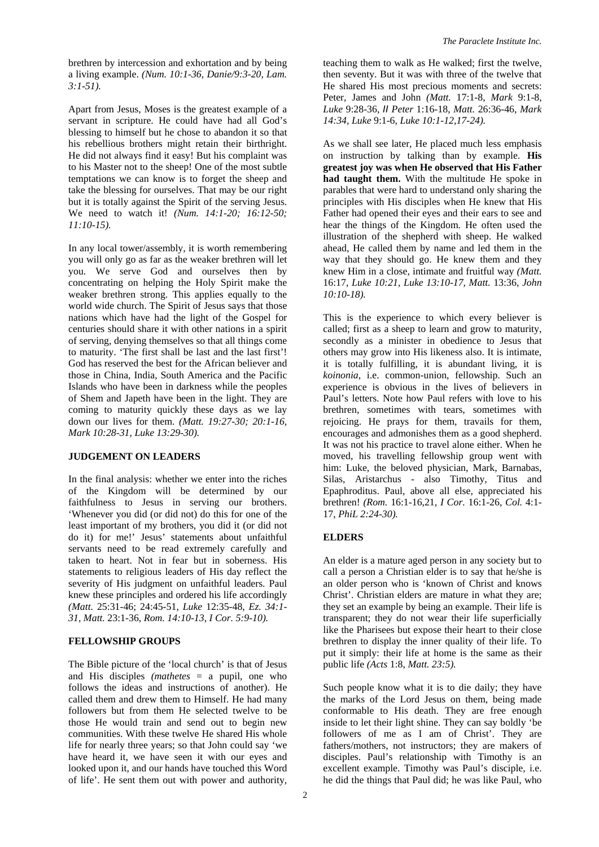brethren by intercession and exhortation and by being a living example. *(Num. 10:1-36, Danie/9:3-20, Lam. 3:1-51).* 

Apart from Jesus, Moses is the greatest example of a servant in scripture. He could have had all God's blessing to himself but he chose to abandon it so that his rebellious brothers might retain their birthright. He did not always find it easy! But his complaint was to his Master not to the sheep! One of the most subtle temptations we can know is to forget the sheep and take the blessing for ourselves. That may be our right but it is totally against the Spirit of the serving Jesus. We need to watch it! *(Num. 14:1-20; 16:12-50; 11:10-15).* 

In any local tower/assembly, it is worth remembering you will only go as far as the weaker brethren will let you. We serve God and ourselves then by concentrating on helping the Holy Spirit make the weaker brethren strong. This applies equally to the world wide church. The Spirit of Jesus says that those nations which have had the light of the Gospel for centuries should share it with other nations in a spirit of serving, denying themselves so that all things come to maturity. 'The first shall be last and the last first'! God has reserved the best for the African believer and those in China, India, South America and the Pacific Islands who have been in darkness while the peoples of Shem and Japeth have been in the light. They are coming to maturity quickly these days as we lay down our lives for them. *(Matt. 19:27-30; 20:1-16, Mark 10:28-31, Luke 13:29-30).* 

## **JUDGEMENT ON LEADERS**

In the final analysis: whether we enter into the riches of the Kingdom will be determined by our faithfulness to Jesus in serving our brothers. 'Whenever you did (or did not) do this for one of the least important of my brothers, you did it (or did not do it) for me!' Jesus' statements about unfaithful servants need to be read extremely carefully and taken to heart. Not in fear but in soberness. His statements to religious leaders of His day reflect the severity of His judgment on unfaithful leaders. Paul knew these principles and ordered his life accordingly *(Matt.* 25:31-46; 24:45-51, *Luke* 12:35-48, *Ez. 34:1- 31, Matt.* 23:1-36, *Rom. 14:10-13, I Cor. 5:9-10).* 

## **FELLOWSHIP GROUPS**

The Bible picture of the 'local church' is that of Jesus and His disciples *(mathetes* = a pupil, one who follows the ideas and instructions of another). He called them and drew them to Himself. He had many followers but from them He selected twelve to be those He would train and send out to begin new communities. With these twelve He shared His whole life for nearly three years; so that John could say 'we have heard it, we have seen it with our eyes and looked upon it, and our hands have touched this Word of life'. He sent them out with power and authority,

teaching them to walk as He walked; first the twelve, then seventy. But it was with three of the twelve that He shared His most precious moments and secrets: Peter, James and John *(Matt.* 17:1-8, *Mark* 9:1-8, *Luke* 9:28-36, *II Peter* 1:16-18, *Matt.* 26:36-46, *Mark 14:34, Luke* 9:1-6, *Luke 10:1-12,17-24).* 

As we shall see later, He placed much less emphasis on instruction by talking than by example. **His greatest joy was when He observed that His Father had taught them.** With the multitude He spoke in parables that were hard to understand only sharing the principles with His disciples when He knew that His Father had opened their eyes and their ears to see and hear the things of the Kingdom. He often used the illustration of the shepherd with sheep. He walked ahead, He called them by name and led them in the way that they should go. He knew them and they knew Him in a close, intimate and fruitful way *(Matt.*  16:17, *Luke 10:21, Luke 13:10-17, Matt.* 13:36, *John 10:10-18).* 

This is the experience to which every believer is called; first as a sheep to learn and grow to maturity, secondly as a minister in obedience to Jesus that others may grow into His likeness also. It is intimate, it is totally fulfilling, it is abundant living, it is *koinonia,* i.e. common-union, fellowship. Such an experience is obvious in the lives of believers in Paul's letters. Note how Paul refers with love to his brethren, sometimes with tears, sometimes with rejoicing. He prays for them, travails for them, encourages and admonishes them as a good shepherd. It was not his practice to travel alone either. When he moved, his travelling fellowship group went with him: Luke, the beloved physician, Mark, Barnabas, Silas, Aristarchus - also Timothy, Titus and Epaphroditus. Paul, above all else, appreciated his brethren! *(Rom.* 16:1-16,21, *I Cor.* 16:1-26, *Col.* 4:1- 17, *PhiL 2:24-30).* 

## **ELDERS**

An elder is a mature aged person in any society but to call a person a Christian elder is to say that he/she is an older person who is 'known of Christ and knows Christ'. Christian elders are mature in what they are; they set an example by being an example. Their life is transparent; they do not wear their life superficially like the Pharisees but expose their heart to their close brethren to display the inner quality of their life. To put it simply: their life at home is the same as their public life *(Acts* 1:8, *Matt. 23:5).* 

Such people know what it is to die daily; they have the marks of the Lord Jesus on them, being made conformable to His death. They are free enough inside to let their light shine. They can say boldly 'be followers of me as I am of Christ'. They are fathers/mothers, not instructors; they are makers of disciples. Paul's relationship with Timothy is an excellent example. Timothy was Paul's disciple, i.e. he did the things that Paul did; he was like Paul, who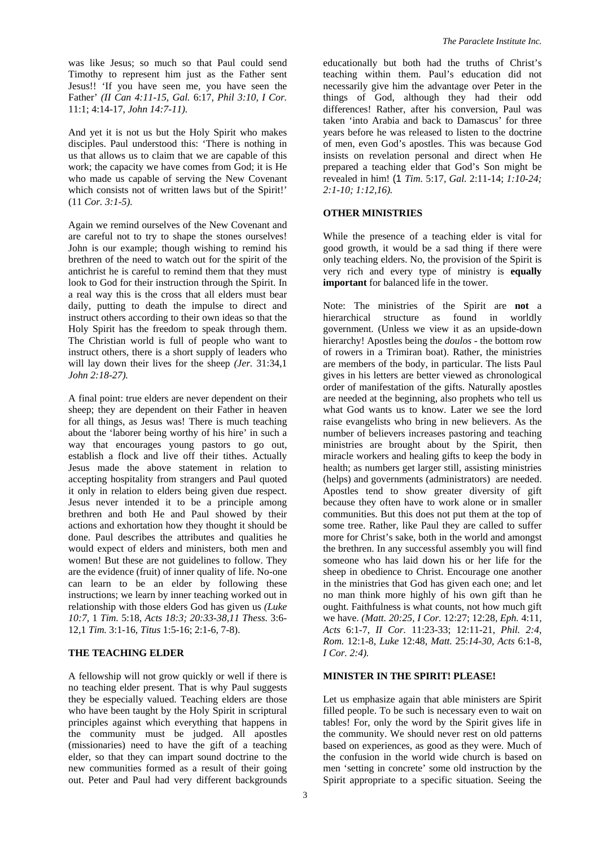was like Jesus; so much so that Paul could send Timothy to represent him just as the Father sent Jesus!! 'If you have seen me, you have seen the Father' *(II Can 4:11-15, Gal.* 6:17, *Phil 3:10, I Cor.*  11:1; 4:14-17, *John 14:7-11).* 

And yet it is not us but the Holy Spirit who makes disciples. Paul understood this: 'There is nothing in us that allows us to claim that we are capable of this work; the capacity we have comes from God; it is He who made us capable of serving the New Covenant which consists not of written laws but of the Spirit!' (11 *Cor. 3:1-5).* 

Again we remind ourselves of the New Covenant and are careful not to try to shape the stones ourselves! John is our example; though wishing to remind his brethren of the need to watch out for the spirit of the antichrist he is careful to remind them that they must look to God for their instruction through the Spirit. In a real way this is the cross that all elders must bear daily, putting to death the impulse to direct and instruct others according to their own ideas so that the Holy Spirit has the freedom to speak through them. The Christian world is full of people who want to instruct others, there is a short supply of leaders who will lay down their lives for the sheep *(Jer.* 31:34,1 *John 2:18-27).* 

A final point: true elders are never dependent on their sheep; they are dependent on their Father in heaven for all things, as Jesus was! There is much teaching about the 'laborer being worthy of his hire' in such a way that encourages young pastors to go out, establish a flock and live off their tithes. Actually Jesus made the above statement in relation to accepting hospitality from strangers and Paul quoted it only in relation to elders being given due respect. Jesus never intended it to be a principle among brethren and both He and Paul showed by their actions and exhortation how they thought it should be done. Paul describes the attributes and qualities he would expect of elders and ministers, both men and women! But these are not guidelines to follow. They are the evidence (fruit) of inner quality of life. No-one can learn to be an elder by following these instructions; we learn by inner teaching worked out in relationship with those elders God has given us *(Luke 10:7,* 1 *Tim.* 5:18, *Acts 18:3; 20:33-38,11 Thess.* 3:6- 12,1 *Tim.* 3:1-16, *Titus* 1:5-16; 2:1-6, 7-8).

### **THE TEACHING ELDER**

A fellowship will not grow quickly or well if there is no teaching elder present. That is why Paul suggests they be especially valued. Teaching elders are those who have been taught by the Holy Spirit in scriptural principles against which everything that happens in the community must be judged. All apostles (missionaries) need to have the gift of a teaching elder, so that they can impart sound doctrine to the new communities formed as a result of their going out. Peter and Paul had very different backgrounds

educationally but both had the truths of Christ's teaching within them. Paul's education did not necessarily give him the advantage over Peter in the things of God, although they had their odd differences! Rather, after his conversion, Paul was taken 'into Arabia and back to Damascus' for three years before he was released to listen to the doctrine of men, even God's apostles. This was because God insists on revelation personal and direct when He prepared a teaching elder that God's Son might be revealed in him! (1 *Tim.* 5:17, *Gal.* 2:11-14; *1:10-24; 2:1-10; 1:12,16).* 

## **OTHER MINISTRIES**

While the presence of a teaching elder is vital for good growth, it would be a sad thing if there were only teaching elders. No, the provision of the Spirit is very rich and every type of ministry is **equally important** for balanced life in the tower.

Note: The ministries of the Spirit are **not** a hierarchical structure as found in worldly government. (Unless we view it as an upside-down hierarchy! Apostles being the *doulos* - the bottom row of rowers in a Trimiran boat). Rather, the ministries are members of the body, in particular. The lists Paul gives in his letters are better viewed as chronological order of manifestation of the gifts. Naturally apostles are needed at the beginning, also prophets who tell us what God wants us to know. Later we see the lord raise evangelists who bring in new believers. As the number of believers increases pastoring and teaching ministries are brought about by the Spirit, then miracle workers and healing gifts to keep the body in health; as numbers get larger still, assisting ministries (helps) and governments (administrators) are needed. Apostles tend to show greater diversity of gift because they often have to work alone or in smaller communities. But this does not put them at the top of some tree. Rather, like Paul they are called to suffer more for Christ's sake, both in the world and amongst the brethren. In any successful assembly you will find someone who has laid down his or her life for the sheep in obedience to Christ. Encourage one another in the ministries that God has given each one; and let no man think more highly of his own gift than he ought. Faithfulness is what counts, not how much gift we have. *(Matt. 20:25, I Cor.* 12:27; 12:28, *Eph.* 4:11, *Acts* 6:1-7, *II Cor.* 11:23-33; 12:11-21, *Phil. 2:4, Rom.* 12:1-8, *Luke* 12:48, *Matt.* 25:*14-30, Acts* 6:1-8, *I Cor. 2:4).* 

# **MINISTER IN THE SPIRIT! PLEASE!**

Let us emphasize again that able ministers are Spirit filled people. To be such is necessary even to wait on tables! For, only the word by the Spirit gives life in the community. We should never rest on old patterns based on experiences, as good as they were. Much of the confusion in the world wide church is based on men 'setting in concrete' some old instruction by the Spirit appropriate to a specific situation. Seeing the